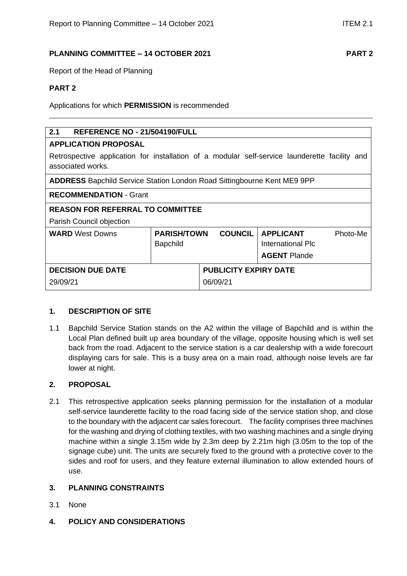# **PLANNING COMMITTEE – 14 OCTOBER 2021 PART 2**

Report of the Head of Planning

# **PART 2**

Applications for which **PERMISSION** is recommended

# **2.1 REFERENCE NO - 21/504190/FULL**

## **APPLICATION PROPOSAL**

Retrospective application for installation of a modular self-service launderette facility and associated works.

| <b>ADDRESS</b> Bapchild Service Station London Road Sittingbourne Kent ME9 9PP |                                                         |                              |                                                                     |          |
|--------------------------------------------------------------------------------|---------------------------------------------------------|------------------------------|---------------------------------------------------------------------|----------|
| <b>RECOMMENDATION - Grant</b>                                                  |                                                         |                              |                                                                     |          |
| <b>REASON FOR REFERRAL TO COMMITTEE</b>                                        |                                                         |                              |                                                                     |          |
| Parish Council objection                                                       |                                                         |                              |                                                                     |          |
| <b>WARD</b> West Downs                                                         | <b>COUNCIL</b><br><b>PARISH/TOWN</b><br><b>Bapchild</b> |                              | <b>APPLICANT</b><br><b>International Plc</b><br><b>AGENT Plande</b> | Photo-Me |
| <b>DECISION DUE DATE</b>                                                       |                                                         | <b>PUBLICITY EXPIRY DATE</b> |                                                                     |          |
| 29/09/21                                                                       |                                                         | 06/09/21                     |                                                                     |          |

## **1. DESCRIPTION OF SITE**

1.1 Bapchild Service Station stands on the A2 within the village of Bapchild and is within the Local Plan defined built up area boundary of the village, opposite housing which is well set back from the road. Adjacent to the service station is a car dealership with a wide forecourt displaying cars for sale. This is a busy area on a main road, although noise levels are far lower at night.

## **2. PROPOSAL**

2.1 This retrospective application seeks planning permission for the installation of a modular self-service launderette facility to the road facing side of the service station shop, and close to the boundary with the adjacent car sales forecourt. The facility comprises three machines for the washing and drying of clothing textiles, with two washing machines and a single drying machine within a single 3.15m wide by 2.3m deep by 2.21m high (3.05m to the top of the signage cube) unit. The units are securely fixed to the ground with a protective cover to the sides and roof for users, and they feature external illumination to allow extended hours of use.

## **3. PLANNING CONSTRAINTS**

- 3.1 None
- **4. POLICY AND CONSIDERATIONS**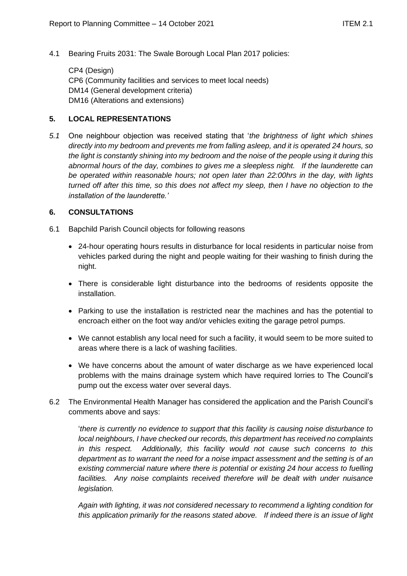4.1 Bearing Fruits 2031: The Swale Borough Local Plan 2017 policies:

CP4 (Design) CP6 (Community facilities and services to meet local needs) DM14 (General development criteria) DM16 (Alterations and extensions)

# **5. LOCAL REPRESENTATIONS**

*5.1* One neighbour objection was received stating that '*the brightness of light which shines directly into my bedroom and prevents me from falling asleep, and it is operated 24 hours, so the light is constantly shining into my bedroom and the noise of the people using it during this abnormal hours of the day, combines to gives me a sleepless night. If the launderette can be operated within reasonable hours; not open later than 22:00hrs in the day, with lights turned off after this time, so this does not affect my sleep, then I have no objection to the installation of the launderette.'*

## **6. CONSULTATIONS**

- 6.1 Bapchild Parish Council objects for following reasons
	- 24-hour operating hours results in disturbance for local residents in particular noise from vehicles parked during the night and people waiting for their washing to finish during the night.
	- There is considerable light disturbance into the bedrooms of residents opposite the installation.
	- Parking to use the installation is restricted near the machines and has the potential to encroach either on the foot way and/or vehicles exiting the garage petrol pumps.
	- We cannot establish any local need for such a facility, it would seem to be more suited to areas where there is a lack of washing facilities.
	- We have concerns about the amount of water discharge as we have experienced local problems with the mains drainage system which have required lorries to The Council's pump out the excess water over several days.
- 6.2 The Environmental Health Manager has considered the application and the Parish Council's comments above and says:

'*there is currently no evidence to support that this facility is causing noise disturbance to local neighbours, I have checked our records, this department has received no complaints in this respect. Additionally, this facility would not cause such concerns to this department as to warrant the need for a noise impact assessment and the setting is of an existing commercial nature where there is potential or existing 24 hour access to fuelling*  facilities. Any noise complaints received therefore will be dealt with under nuisance *legislation.*

*Again with lighting, it was not considered necessary to recommend a lighting condition for this application primarily for the reasons stated above. If indeed there is an issue of light*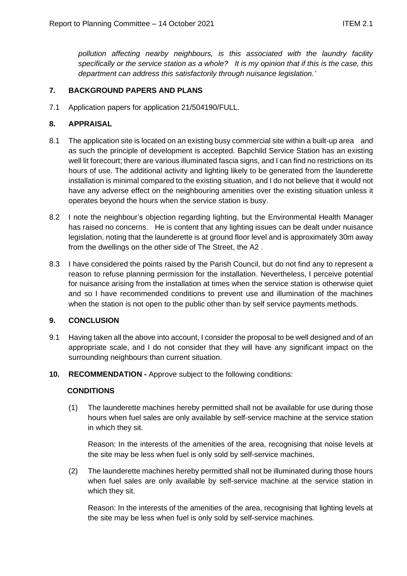*pollution affecting nearby neighbours, is this associated with the laundry facility specifically or the service station as a whole? It is my opinion that if this is the case, this department can address this satisfactorily through nuisance legislation.'*

# **7. BACKGROUND PAPERS AND PLANS**

7.1 Application papers for application 21/504190/FULL.

# **8. APPRAISAL**

- 8.1 The application site is located on an existing busy commercial site within a built-up area and as such the principle of development is accepted. Bapchild Service Station has an existing well lit forecourt; there are various illuminated fascia signs, and I can find no restrictions on its hours of use. The additional activity and lighting likely to be generated from the launderette installation is minimal compared to the existing situation, and I do not believe that it would not have any adverse effect on the neighbouring amenities over the existing situation unless it operates beyond the hours when the service station is busy.
- 8.2 I note the neighbour's objection regarding lighting, but the Environmental Health Manager has raised no concerns. He is content that any lighting issues can be dealt under nuisance legislation, noting that the launderette is at ground floor level and is approximately 30m away from the dwellings on the other side of The Street, the A2 .
- 8.3 I have considered the points raised by the Parish Council, but do not find any to represent a reason to refuse planning permission for the installation. Nevertheless, I perceive potential for nuisance arising from the installation at times when the service station is otherwise quiet and so I have recommended conditions to prevent use and illumination of the machines when the station is not open to the public other than by self service payments methods.

## **9. CONCLUSION**

- 9.1 Having taken all the above into account, I consider the proposal to be well designed and of an appropriate scale, and I do not consider that they will have any significant impact on the surrounding neighbours than current situation.
- **10. RECOMMENDATION -** Approve subject to the following conditions:

## **CONDITIONS**

(1) The launderette machines hereby permitted shall not be available for use during those hours when fuel sales are only available by self-service machine at the service station in which they sit.

Reason: In the interests of the amenities of the area, recognising that noise levels at the site may be less when fuel is only sold by self-service machines.

(2) The launderette machines hereby permitted shall not be illuminated during those hours when fuel sales are only available by self-service machine at the service station in which they sit.

Reason: In the interests of the amenities of the area, recognising that lighting levels at the site may be less when fuel is only sold by self-service machines.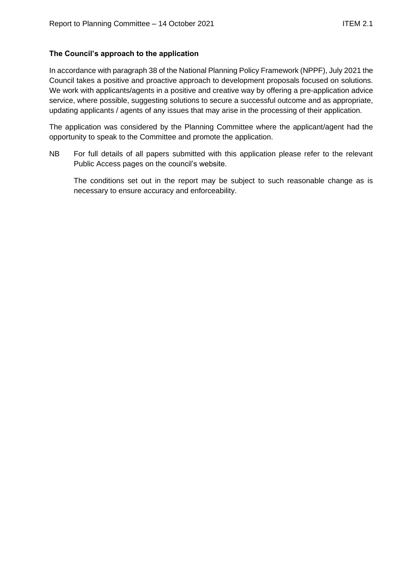# **The Council's approach to the application**

In accordance with paragraph 38 of the National Planning Policy Framework (NPPF), July 2021 the Council takes a positive and proactive approach to development proposals focused on solutions. We work with applicants/agents in a positive and creative way by offering a pre-application advice service, where possible, suggesting solutions to secure a successful outcome and as appropriate, updating applicants / agents of any issues that may arise in the processing of their application.

The application was considered by the Planning Committee where the applicant/agent had the opportunity to speak to the Committee and promote the application.

NB For full details of all papers submitted with this application please refer to the relevant Public Access pages on the council's website.

The conditions set out in the report may be subject to such reasonable change as is necessary to ensure accuracy and enforceability.